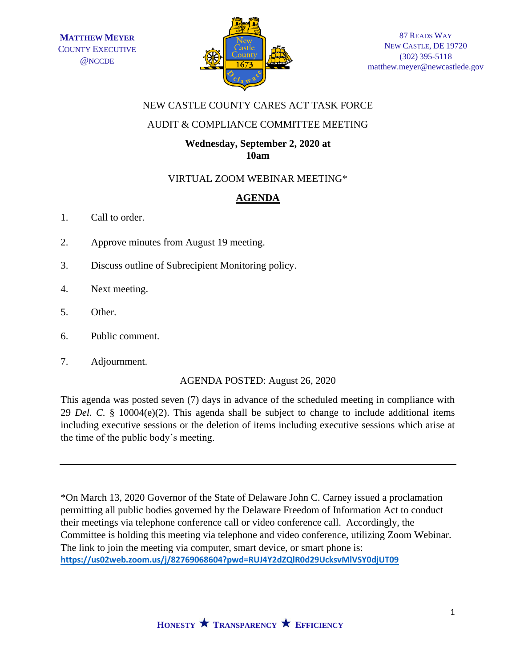

## NEW CASTLE COUNTY CARES ACT TASK FORCE

## AUDIT & COMPLIANCE COMMITTEE MEETING

### **Wednesday, September 2, 2020 at 10am**

## VIRTUAL ZOOM WEBINAR MEETING\*

# **AGENDA**

- 1. Call to order.
- 2. Approve minutes from August 19 meeting.
- 3. Discuss outline of Subrecipient Monitoring policy.
- 4. Next meeting.
- 5. Other.
- 6. Public comment.
- 7. Adjournment.

## AGENDA POSTED: August 26, 2020

This agenda was posted seven (7) days in advance of the scheduled meeting in compliance with 29 *Del. C.* § 10004(e)(2). This agenda shall be subject to change to include additional items including executive sessions or the deletion of items including executive sessions which arise at the time of the public body's meeting.

\*On March 13, 2020 Governor of the State of Delaware John C. Carney issued a proclamation permitting all public bodies governed by the Delaware Freedom of Information Act to conduct their meetings via telephone conference call or video conference call. Accordingly, the Committee is holding this meeting via telephone and video conference, utilizing Zoom Webinar. The link to join the meeting via computer, smart device, or smart phone is: **<https://us02web.zoom.us/j/82769068604?pwd=RUJ4Y2dZQlR0d29UcksvMlVSY0djUT09>**